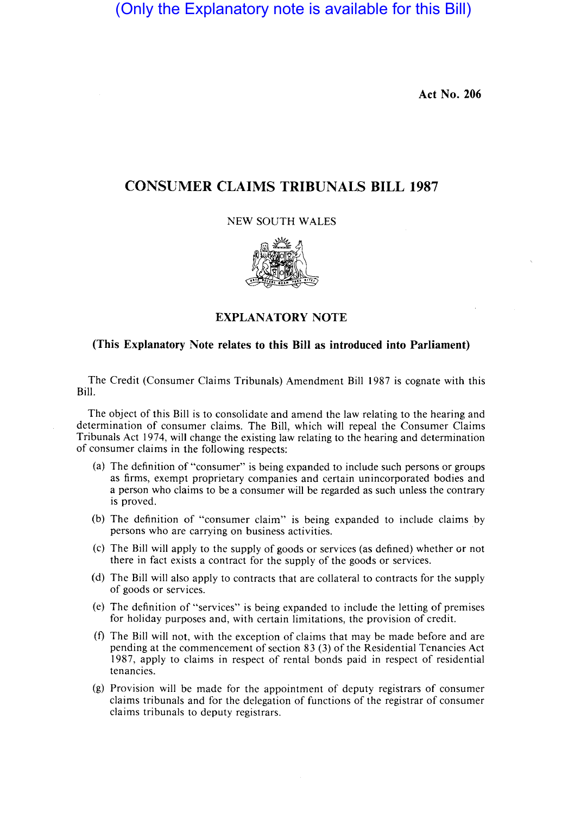(Only the Explanatory note is available for this Bill)

Act No. 206

# CONSUMER CLAIMS TRIBUNALS BILL 1987

#### NEW SOUTH WALES



## EXPLANATORY NOTE

## (This Explanatory Note relates to this Bill as introduced into Parliament)

The Credit (Consumer Claims Tribunals) Amendment Bill 1987 is cognate with this Bill.

The object of this Bill is to consolidate and amend the law relating to the hearing and determination of consumer claims. The Bill, which will repeal the Consumer Claims Tribunals Act 1974, will change the existing law relating to the hearing and determination of consumer claims in the following respects:

- (a) The definition of "consumer" is being expanded to include such persons or groups as firms, exempt proprietary companies and certain unincorporated bodies and a person who claims to be a consumer will be regarded as such unless the contrary is proved.
- (b) The definition of "consumer claim" is being expanded to include claims by persons who are carrying on business activities.
- (c) The Bill will apply to the supply of goods or services (as defined) whether or not there in fact exists a contract for the supply of the goods or services.
- (d) The Bill will also apply to contracts that are collateral to contracts for the supply of goods or services.
- (e) The definition of "services" is being expanded to include the letting of premises for holiday purposes and, with certain limitations, the provision of credit.
- (f) The Bill will not, with the exception of claims that may be made before and are pending at the commencement of section 83 (3) of the Residential Tenancies Act 1987, apply to claims in respect of rental bonds paid in respect of residential tenancies.
- (g) Provision will be made for the appointment of deputy registrars of consumer claims tribunals and for the delegation of functions of the registrar of consumer claims tribunals to deputy registrars.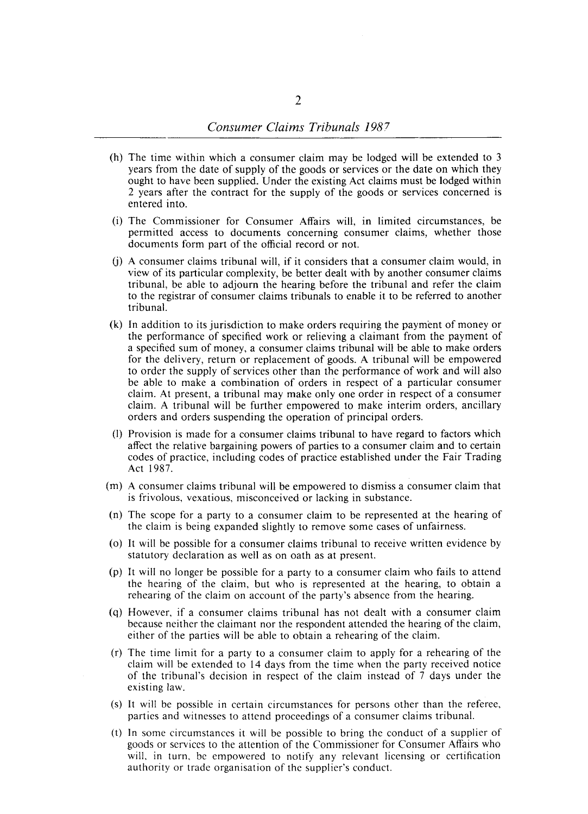- (h) The time within which a consumer claim may be lodged will be extended to 3 years from the date of supply of the goods or services or the date on which they ought to have been supplied. Under the existing Act claims must be lodged within 2 years after the contract for the supply of the goods or services concerned is entered into.
- (i) The Commissioner for Consumer Affairs will, in limited circumstances, be permitted access to documents concerning consumer claims, whether those documents form part of the official record or not.
- (j) A consumer claims tribunal will, if it considers that a consumer claim would, in view of its particular complexity, be better dealt with by another consumer claims tribunal, be able to adjourn the hearing before the tribunal and refer the claim to the registrar of consumer claims tribunals to enable it to be referred to another tribunal.
- (k) In addition to its jurisdiction to make orders requiring the payment of money or the performance of specified work or relieving a claimant from the payment of a specified sum of money, a consumer claims tribunal will be able to make orders for the delivery, return or replacement of goods. A tribunal will be empowered to order the supply of services other than the performance of work and will also be able to make a combination of orders in respect of a particular consumer claim. At present, a tribunal may make only one order in respect of a consumer claim. A tribunal will be further empowered to make interim orders, ancillary orders and orders suspending the operation of principal orders.
- (I) Provision is made for a consumer claims tribunal to have regard to factors which affect the relative bargaining powers of parties to a consumer claim and to certain codes of practice, including codes of practice established under the Fair Trading Act 1987.
- (m) A consumer claims tribunal will be empowered to dismiss a consumer claim that is frivolous, vexatious, misconceived or lacking in substance.
- (n) The scope for a party to a consumer claim to be represented at the hearing of the claim is being expanded slightly to remove some cases of unfairness.
- (0) It will be possible for a consumer claims tribunal to receive written evidence by statutory declaration as well as on oath as at present.
- (p) It will no longer be possible for a party to a consumer claim who fails to attend the hearing of the claim, but who is represented at the hearing, to obtain a rehearing of the claim on account of the party's absence from the hearing.
- (q) However, if a consumer claims tribunal has not dealt with a consumer claim because neither the claimant nor the respondent attended the hearing of the claim, either of the parties will be able to obtain a rehearing of the claim.
- (r) The time limit for a party to a consumer claim to apply for a rehearing of the claim will be extended to 14 days from the time when the party received notice of the tribunal's decision in respect of the claim instead of 7 days under the existing law.
- (s) It will be possible in certain circumstances for persons other than the referee, parties and witnesses to attend proceedings of a consumer claims tribunal.
- (t) In some circumstances it will be possible to bring the conduct of a supplier of goods or services to the attention of the Commissioner for Consumer Affairs who will, in turn, be empowered to notify any relevant licensing or certification authority or trade organisation of the supplicr's conduct.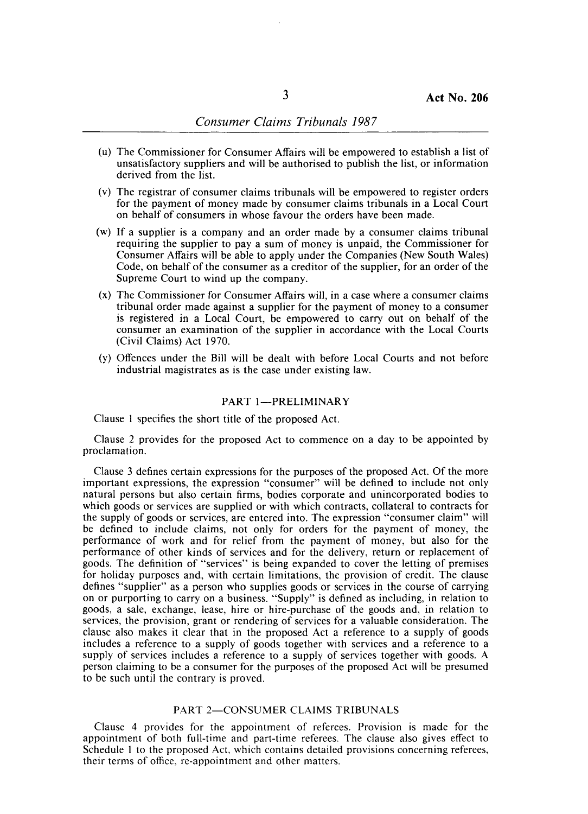- (u) The Commissioner for Consumer Affairs will be empowered to establish a list of unsatisfactory suppliers and will be authorised to publish the list, or information derived from the list.
- (v) The registrar of consumer claims tribunals will be empowered to register orders for the payment of money made by consumer claims tribunals in a Local Court on behalf of consumers in whose favour the orders have been made.
- (w) If a supplier is a company and an order made by a consumer claims tribunal requiring the supplier to pay a sum of money is unpaid, the Commissioner for Consumer Affairs will be able to apply under the Companies (New South Wales) Code, on behalf of the consumer as a creditor of the supplier, for an order of the Supreme Court to wind up the company.
- (x) The Commissioner for Consumer Affairs will, in a case where a consumer claims tribunal order made against a supplier for the payment of money to a consumer is registered in a Local Court, be empowered to carry out on behalf of the consumer an examination of the supplier in accordance with the Local Courts (Civil Claims) Act 1970.
- (y) Offences under the Bill will be dealt with before Local Courts and not before industrial magistrates as is the case under existing law.

#### PART 1-PRELIMINARY

Clause I specifies the short title of the proposed Act.

Clause 2 provides for the proposed Act to commence on a day to be appointed by proclamation.

Clause 3 defines certain expressions for the purposes of the proposed Act. Of the more important expressions, the expression "consumer" will be defined to include not only natural persons but also certain firms, bodies corporate and unincorporated bodies to which goods or services are supplied or with which contracts, collateral to contracts for the supply of goods or services, are entered into. The expression "consumer claim" will be defined to include claims, not only for orders for the payment of money, the performance of work and for relief from the payment of money, but also for the performance of other kinds of services and for the delivery, return or replacement of goods. The definition of "services" is being expanded to cover the letting of premises for holiday purposes and, with certain limitations, the provision of credit. The clause defines "supplier" as a person who supplies goods or services in the course of carrying on or purporting to carry on a business. "Supply" is defined as including, in relation to goods, a sale, exchange, lease, hire or hire-purchase of the goods and, in relation to services, the provision, grant or rendering of services for a valuable consideration. The clause also makes it clear that in the proposed Act a reference to a supply of goods includes a reference to a supply of goods together with services and a reference to a supply of services includes a reference to a supply of services together with goods. A person claiming to be a consumer for the purposes of the proposed Act will be presumed to be such until the contrary is proved.

#### PART 2-CONSUMER CLAIMS TRIBUNALS

Clause 4 provides for the appointment of referees. Provision is made for the appointment of both full-time and part-time referees. The clause also gives effect to Schedule 1 to the proposed Act, which contains detailed provisions concerning referees, their terms of office, re-appointment and other matters.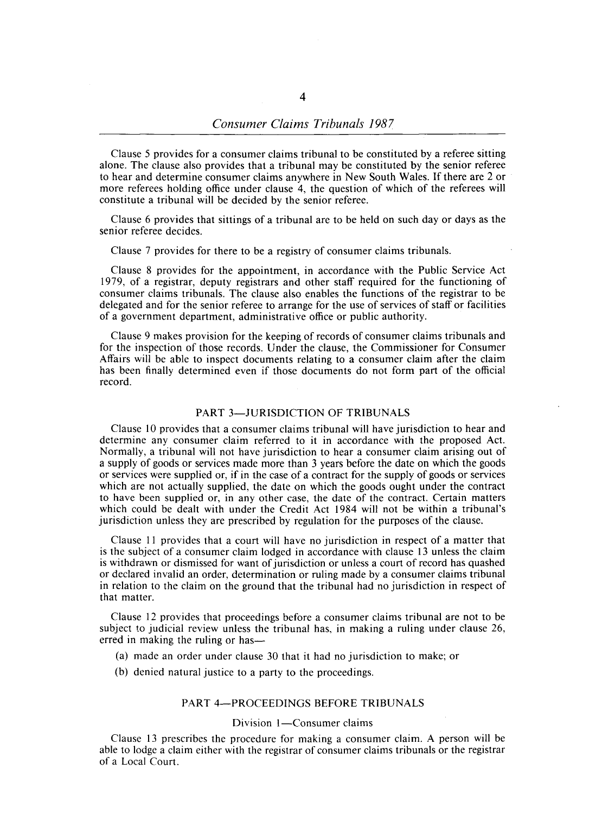Clause 5 provides for a consumer claims tribunal to be constituted by a referee sitting alone. The clause also provides that a tribunal may be constituted by the senior referee to hear and determine consumer claims anywhere in New South Wales. If there are 2 or more referees holding office under clause 4, the question of which of the referees will constitute a tribunal will be decided by the senior referee.

Clause 6 provides that sittings of a tribunal are to be held on such day or days as the senior referee decides.

Clause 7 provides for there to be a registry of consumer claims tribunals.

Clause 8 provides for the appointment, in accordance with the Public Service Act 1979, of a registrar, deputy registrars and other staff required for the functioning of consumer claims tribunals. The clause also enables the functions of the registrar to be delegated and for the senior referee to arrange for the use of services of staff or facilities of a government department, administrative office or public authority.

Clause 9 makes provision for the keeping of records of consumer claims tribunals and for the inspection of those records. Under the clause, the Commissioner for Consumer Affairs will be able to inspect documents relating to a consumer claim after the claim has been finally determined even if those documents do not form part of the official record.

#### PART 3-JURISDICTION OF TRIBUNALS

Clause 10 provides that a consumer claims tribunal will have jurisdiction to hear and determine any consumer claim referred to it in accordance with the proposed Act. Normally, a tribunal will not have jurisdiction to hear a consumer claim arising out of a supply of goods or services made more than 3 years before the date on which the goods or services were supplied or, if in the case of a contract for the supply of goods or services which are not actually supplied, the date on which the goods ought under the contract to have been supplied or, in any other case, the date of the contract. Certain matters which could be dealt with under the Credit Act 1984 will not be within a tribunal's jurisdiction unless they are prescribed by regulation for the purposes of the clause.

Clause 11 provides that a court will have no jurisdiction in respect of a matter that is the subject of a consumer claim lodged in accordance with clause 13 unless the claim is withdrawn or dismissed for want of jurisdiction or unless a court of record has quashed or declared invalid an order, determination or ruling made by a consumer claims tribunal in relation to the claim on the ground that the tribunal had no jurisdiction in respect of that matter.

Clause 12 provides that proceedings before a consumer claims tribunal are not to be subject to judicial review unless the tribunal has, in making a ruling under clause 26, erred in making the ruling or has—

- (a) made an order under clause 30 that it had no jurisdiction to make; or
- (b) denied natural justice to a party to the proceedings.

## PART 4-PROCEEDINGS BEFORE TRIBUNALS

## Division 1-Consumer claims

Clause 13 prescribes the procedure for making a consumer claim. A person will be able to lodge a claim either with the registrar of consumer claims tribunals or the registrar of a Local Court.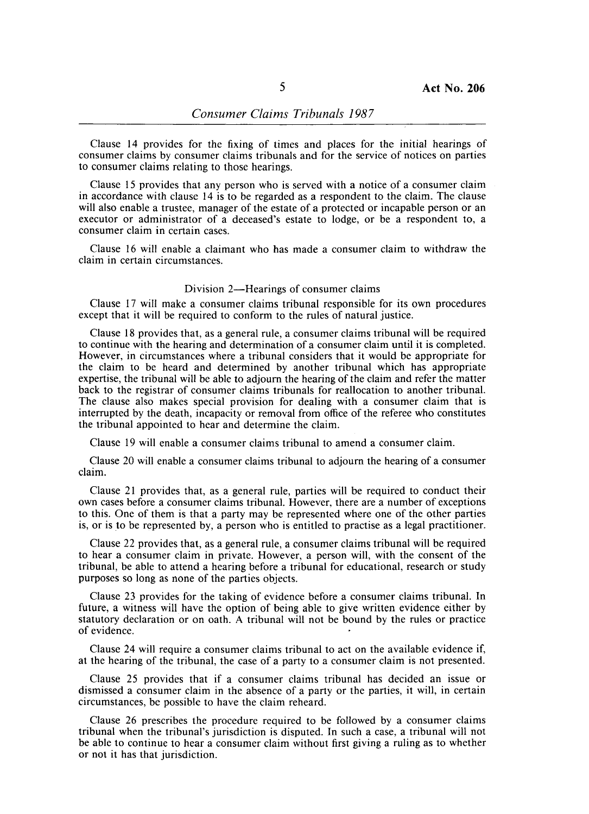Clause 14 provides for the fixing of times and places for the initial hearings of consumer claims by consumer claims tribunals and for the service of notices on parties to consumer claims relating to those hearings.

Clause 15 provides that any person who is served with a notice of a consumer claim in accordance with clause 14 is to be regarded as a respondent to the claim. The clause will also enable a trustee, manager of the estate of a protected or incapable person or an executor or administrator of a deceased's estate to lodge, or be a respondent to, a consumer claim in certain cases.

Clause 16 will enable a claimant who has made a consumer claim to withdraw the claim in certain circumstances.

#### Division 2—Hearings of consumer claims

Clause 17 will make a consumer claims tribunal responsible for its own procedures except that it will be required to conform to the rules of natural justice.

Clause 18 provides that, as a general rule, a consumer claims tribunal will be required to continue with the hearing and determination of a consumer claim until it is completed. However, in circumstances where a tribunal considers that it would be appropriate for the claim to be heard and determined by another tribunal which has appropriate expertise, the tribunal will be able to adjourn the hearing of the claim and refer the matter back to the registrar of consumer claims tribunals for reallocation to another tribunal. The clause also makes special provision for dealing with a consumer claim that is interrupted by the death, incapacity or removal from office of the referee who constitutes the tribunal appointed to hear and determine the claim.

Clause 19 will enable a consumer claims tribunal to amend a consumer claim.

Clause 20 will enable a consumer claims tribunal to adjourn the hearing of a consumer claim.

Clause 21 provides that, as a general rule, parties will be required to conduct their own cases before a consumer claims tribunal. However, there are a number of exceptions to this. One of them is that a party may be represented where one of the other parties is, or is to be represented by, a person who is entitled to practise as a legal practitioner.

Clause 22 provides that, as a general rule, a consumer claims tribunal will be required to hear a consumer claim in private. However, a person will, with the consent of the tribunal, be able to attend a hearing before a tribunal for educational, research or study purposes so long as none of the parties objects.

Clause 23 provides for the taking of evidence before a consumer claims tribunal. In future, a witness will have the option of being able to give written evidence either by statutory declaration or on oath. A tribunal will not be bound by the rules or practice of evidence.

Clause 24 will require a consumer claims tribunal to act on the available evidence if, at the hearing of the tribunal, the case of a party to a consumer claim is not presented.

Clause 25 provides that if a consumer claims tribunal has decided an issue or dismissed a consumer claim in the absence of a party or the parties, it will, in certain circumstances, be possible to have the claim reheard.

Clause 26 prescribes the procedure required to be followed by a consumer claims tribunal when the tribunal's jurisdiction is disputed. In such a case, a tribunal will not be able to continue to hear a consumer claim without first giving a ruling as to whether or not it has that jurisdiction.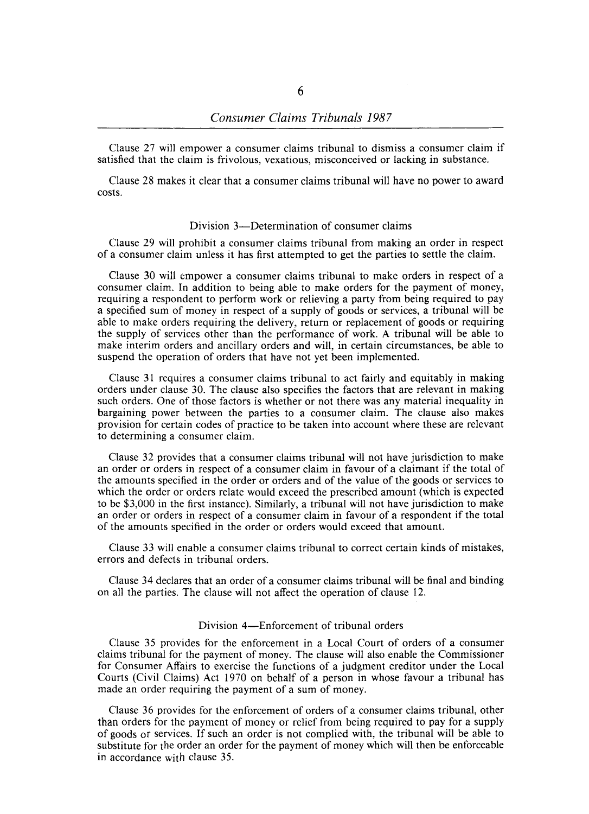Clause 27 will empower a consumer claims tribunal to dismiss a consumer claim if satisfied that the claim is frivolous, vexatious, misconceived or lacking in substance.

Clause 28 makes it clear that a consumer claims tribunal will have no power to award costs.

#### Division 3—Determination of consumer claims

Clause 29 will prohibit a consumer claims tribunal from making an order in respect of a consumer claim unless it has first attempted to get the parties to settle the claim.

Clause 30 will empower a consumer claims tribunal to make orders in respect of a consumer claim. **In** addition to being able to make orders for the payment of money, requiring a respondent to perform work or relieving a party from being required to pay a specified sum of money in respect of a supply of goods or services, a tribunal will be able to make orders requiring the delivery, return or replacement of goods or requiring the supply of services other than the performance of work. A tribunal will be able to make interim orders and ancillary orders and will, in certain circumstances, be able to suspend the operation of orders that have not yet been implemented.

Clause 31 requires a consumer claims tribunal to act fairly and equitably in making orders under clause 30. The clause also specifies the factors that are relevant in making such orders. One of those factors is whether or not there was any material inequality in bargaining power between the parties to a consumer claim. The clause also makes provision for certain codes of practice to be taken into account where these are relevant to determining a consumer claim.

Clause 32 provides that a consumer claims tribunal will not have jurisdiction to make an order or orders in respect of a consumer claim in favour of a claimant if the total of the amounts specified in the order or orders and of the value of the goods or services to which the order or orders relate would exceed the prescribed amount (which is expected to be \$3,000 in the first instance). Similarly, a tribunal will not have jurisdiction to make an order or orders in respect of a consumer claim in favour of a respondent if the total of the amounts specified in the order or orders would exceed that amount.

Clause 33 will enable a consumer claims tribunal to correct certain kinds of mistakes, errors and defects in tribunal orders.

Clause 34 declares that an order of a consumer claims tribunal will be final and binding on all the parties. The clause will not affect the operation of clause 12.

## Division 4—Enforcement of tribunal orders

Clause 35 provides for the enforcement in a Local Court of orders of a consumer claims tribunal for the payment of money. The clause will also enable the Commissioner for Consumer Affairs to exercise the functions of a judgment creditor under the Local Courts (Civil Claims) Act 1970 on behalf of a person in whose favour a tribunal has made an order requiring the payment of a sum of money.

Clause 36 provides for the enforcement of orders of a consumer claims tribunal, other than orders for the payment of money or relief from being required to pay for a supply of goods or services. If such an order is not complied with, the tribunal will be able to substitute for the order an order for the payment of money which will then be enforceable in accordance with clause 35.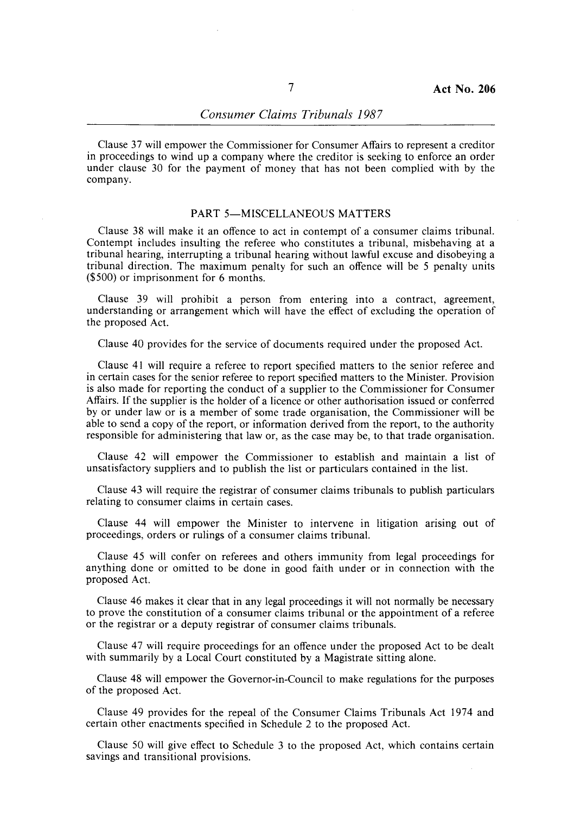Clause 37 will empower the Commissioner for Consumer Affairs to represent a creditor in proceedings to wind up a company where the creditor is seeking to enforce an order under clause 30 for the payment of money that has not been complied with by the company.

### PART 5-MISCELLANEOUS MATTERS

Clause 38 will make it an offence to act in contempt of a consumer claims tribunal. Contempt includes insulting the referee who constitutes a tribunal, misbehaving at a tribunal hearing, interrupting a tribunal hearing without lawful excuse and disobeying a tribunal direction. The maximum penalty for such an offence will be 5 penalty units (\$500) or imprisonment for 6 months.

Clause 39 will prohibit a person from entering into a contract, agreement, understanding or arrangement which will have the effect of excluding the operation of the proposed Act.

Clause 40 provides for the service of documents required under the proposed Act.

Clause 41 will require a referee to report specified matters to the senior referee and in certain cases for the senior referee to report specified matters to the Minister. Provision is also made for reporting the conduct of a supplier to the Commissioner for Consumer Affairs. If the supplier is the holder of a licence or other authorisation issued or conferred by or under law or is a member of some trade organisation, the Commissioner will be able to send a copy of the report, or information derived from the report, to the authority responsible for administering that law or, as the case may be, to that trade organisation.

Clause 42 will empower the Commissioner to establish and maintain a list of unsatisfactory suppliers and to publish the list or particulars contained in the list.

Clause 43 will require the registrar of consumer claims tribunals to publish particulars relating to consumer claims in certain cases.

Clause 44 will empower the Minister to intervene in litigation arising out of proceedings, orders or rulings of a consumer claims tribunal.

Clause 45 will confer on referees and others immunity from legal proceedings for anything. done or omitted to be done in good faith under or in connection with the proposed Act.

Clause 46 makes it clear that in any legal proceedings it will not normally be necessary to prove the constitution of a consumer claims tribunal or the appointment of a referee or the registrar or a deputy registrar of consumer claims tribunals.

Clause 47 will require proceedings for an offence under the proposed Act to be dealt with summarily by a Local Court constituted by a Magistrate sitting alone.

Clause 48 will empower the Governor-in-Council to make regulations for the purposes of the proposed Act.

Clause 49 provides for the repeal of the Consumer Claims Tribunals Act 1974 and certain other enactments specified in Schedule 2 to the proposed Act.

Clause 50 will give effect to Schedule 3 to the proposed Act, which contains certain savings and transitional provisions.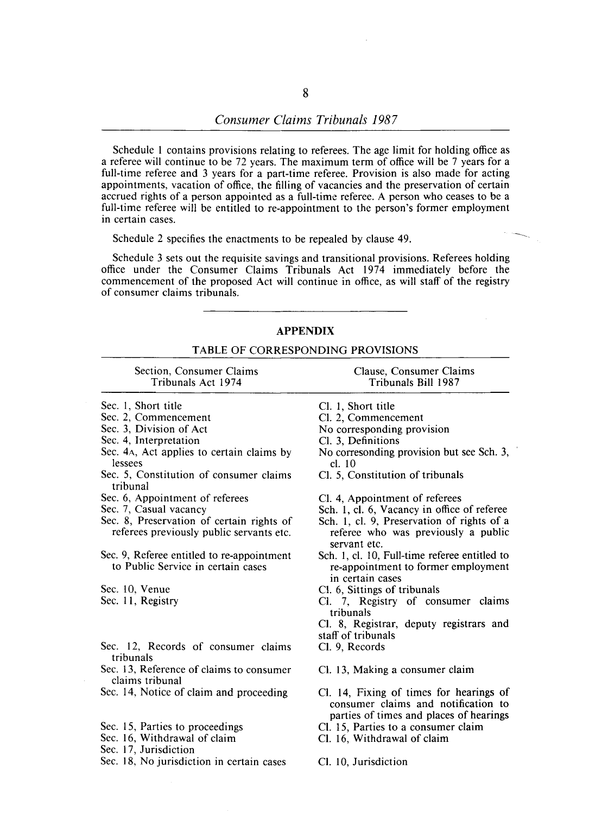## *Consumer Claims Tribunals 1987*

Schedule 1 contains provisions relating to referees. The age limit for holding office as a referee will continue to be 72 years. The maximum term of office will be 7 years for a full-time referee and 3 years for a part-time referee. Provision is also made for acting appointments, vacation of office, the filling of vacancies and the preservation of certain accrued rights of a person appointed as a full-time referee. A person who ceases to be a full-time referee will be entitled to re-appointment to the person's former employment in certain cases.

Schedule 2 specifies the enactments to be repealed by clause 49.

Schedule 3 sets out the requisite savings and transitional provisions. Referees holding office under the Consumer Claims Tribunals Act 1974 immediately before the commencement of the proposed Act will continue in office, as will staff of the registry of consumer claims tribunals.

#### **APPENDIX**

## TABLE OF CORRESPONDING PROVISIONS

| Section, Consumer Claims<br>Tribunals Act 1974                                        | Clause, Consumer Claims<br>Tribunals Bill 1987                                                           |
|---------------------------------------------------------------------------------------|----------------------------------------------------------------------------------------------------------|
| Sec. 1, Short title                                                                   | Cl. 1, Short title                                                                                       |
| Sec. 2, Commencement                                                                  | Cl. 2, Commencement                                                                                      |
| Sec. 3, Division of Act                                                               | No corresponding provision                                                                               |
| Sec. 4, Interpretation                                                                | Cl. 3, Definitions                                                                                       |
| Sec. 4A, Act applies to certain claims by<br>lessees                                  | No corresonding provision but see Sch. 3,<br>cl. 10                                                      |
| Sec. 5, Constitution of consumer claims<br>tribunal                                   | Cl. 5, Constitution of tribunals                                                                         |
| Sec. 6, Appointment of referees                                                       | Cl. 4, Appointment of referees                                                                           |
| Sec. 7, Casual vacancy                                                                | Sch. 1, cl. 6, Vacancy in office of referee                                                              |
| Sec. 8, Preservation of certain rights of<br>referees previously public servants etc. | Sch. 1, cl. 9, Preservation of rights of a<br>referee who was previously a public<br>servant etc.        |
| Sec. 9, Referee entitled to re-appointment<br>to Public Service in certain cases      | Sch. 1, cl. 10, Full-time referee entitled to<br>re-appointment to former employment<br>in certain cases |
| Sec. 10, Venue                                                                        | Cl. 6, Sittings of tribunals                                                                             |
| Sec. 11, Registry                                                                     | Cl. 7, Registry of consumer claims<br>tribunals                                                          |
|                                                                                       | Cl. 8, Registrar, deputy registrars and<br>staff of tribunals                                            |
| Sec. 12, Records of consumer claims<br>tribunals                                      | Cl. 9, Records                                                                                           |
| Sec. 13, Reference of claims to consumer<br>claims tribunal                           | Cl. 13, Making a consumer claim                                                                          |

Sec. 14, Notice of claim and proceeding

Sec. 15, Parties to proceedings

Sec. 16, Withdrawal of claim

Sec. 17, Jurisdiction

Sec. 18, No jurisdiction in certain cases

Cl. 14, Fixing of times for hearings of consumer claims and notification to parties of times and places of hearings

- Cl. 15, Parties to a consumer claim
- Cl. 16, Withdrawal of claim

Cl. 10, Jurisdiction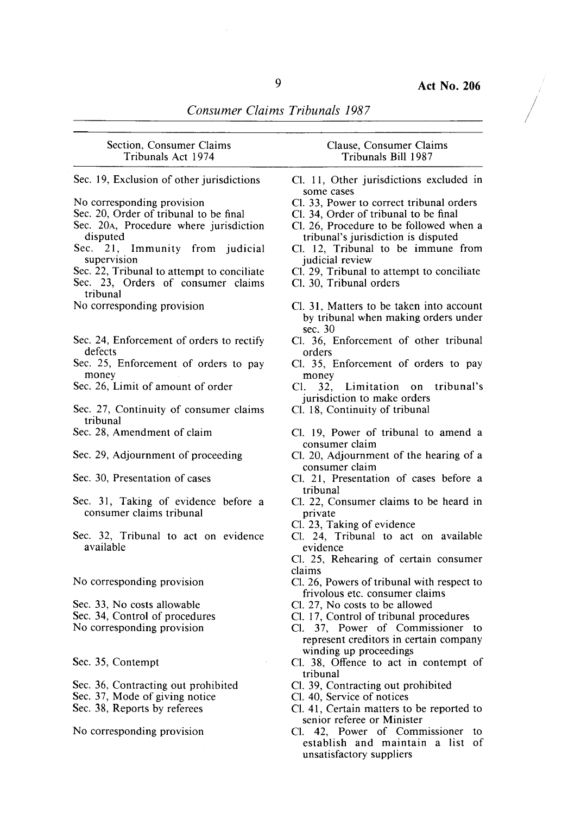$\bigg\}$ 

*Consumer Claims Tribunals 1987* 

| Section, Consumer Claims<br>Tribunals Act 1974                                   | Clause, Consumer Claims<br>Tribunals Bill 1987                          |
|----------------------------------------------------------------------------------|-------------------------------------------------------------------------|
| Sec. 19, Exclusion of other jurisdictions                                        | Cl. 11, Other jurisdictions excluded in                                 |
|                                                                                  | some cases                                                              |
| No corresponding provision                                                       | Cl. 33, Power to correct tribunal orders                                |
| Sec. 20, Order of tribunal to be final                                           | Cl. 34, Order of tribunal to be final                                   |
| Sec. 20A, Procedure where jurisdiction                                           | Cl. 26, Procedure to be followed when a                                 |
| disputed                                                                         | tribunal's jurisdiction is disputed                                     |
| Sec. 21, Immunity from judicial                                                  | Cl. 12, Tribunal to be immune from                                      |
| supervision                                                                      | judicial review                                                         |
| Sec. 22, Tribunal to attempt to conciliate<br>Sec. 23, Orders of consumer claims | Cl. 29, Tribunal to attempt to conciliate<br>Cl. 30, Tribunal orders    |
| tribunal                                                                         |                                                                         |
| No corresponding provision                                                       | Cl. 31, Matters to be taken into account                                |
|                                                                                  | by tribunal when making orders under                                    |
| Sec. 24, Enforcement of orders to rectify                                        | sec. 30<br>Cl. 36, Enforcement of other tribunal                        |
| defects                                                                          | orders                                                                  |
| Sec. 25, Enforcement of orders to pay                                            | Cl. 35, Enforcement of orders to pay                                    |
| money                                                                            | money                                                                   |
| Sec. 26, Limit of amount of order                                                | tribunal's<br>Cl. –<br>32.<br>Limitation on                             |
|                                                                                  | jurisdiction to make orders                                             |
| Sec. 27, Continuity of consumer claims<br>tribunal                               | Cl. 18, Continuity of tribunal                                          |
| Sec. 28, Amendment of claim                                                      | Cl. 19, Power of tribunal to amend a<br>consumer claim                  |
| Sec. 29, Adjournment of proceeding                                               | Cl. 20, Adjournment of the hearing of a<br>consumer claim               |
| Sec. 30, Presentation of cases                                                   | Cl. 21, Presentation of cases before a                                  |
|                                                                                  | tribunal                                                                |
| Sec. 31, Taking of evidence before a                                             | Cl. 22, Consumer claims to be heard in                                  |
| consumer claims tribunal                                                         | private                                                                 |
|                                                                                  | Cl. 23, Taking of evidence                                              |
| Sec. 32, Tribunal to act on evidence<br>available                                | Cl. 24, Tribunal to act on available<br>evidence                        |
|                                                                                  | Cl. 25, Rehearing of certain consumer                                   |
|                                                                                  | claims                                                                  |
| No corresponding provision                                                       | Cl. 26, Powers of tribunal with respect to                              |
|                                                                                  | frivolous etc. consumer claims                                          |
| Sec. 33, No costs allowable                                                      | Cl. 27, No costs to be allowed                                          |
| Sec. 34, Control of procedures                                                   | Cl. 17, Control of tribunal procedures                                  |
| No corresponding provision                                                       | 37, Power of Commissioner to<br>Cl. –                                   |
|                                                                                  | represent creditors in certain company                                  |
|                                                                                  | winding up proceedings                                                  |
| Sec. 35, Contempt                                                                | Cl. 38, Offence to act in contempt of                                   |
|                                                                                  | tribunal                                                                |
| Sec. 36, Contracting out prohibited                                              | Cl. 39, Contracting out prohibited                                      |
| Sec. 37, Mode of giving notice                                                   | Cl. 40, Service of notices                                              |
| Sec. 38, Reports by referees                                                     | Cl. 41, Certain matters to be reported to<br>senior referee or Minister |

No corresponding provision

Cl. 42, Power of Commissioner to establish and maintain a list of unsatisfactory suppliers